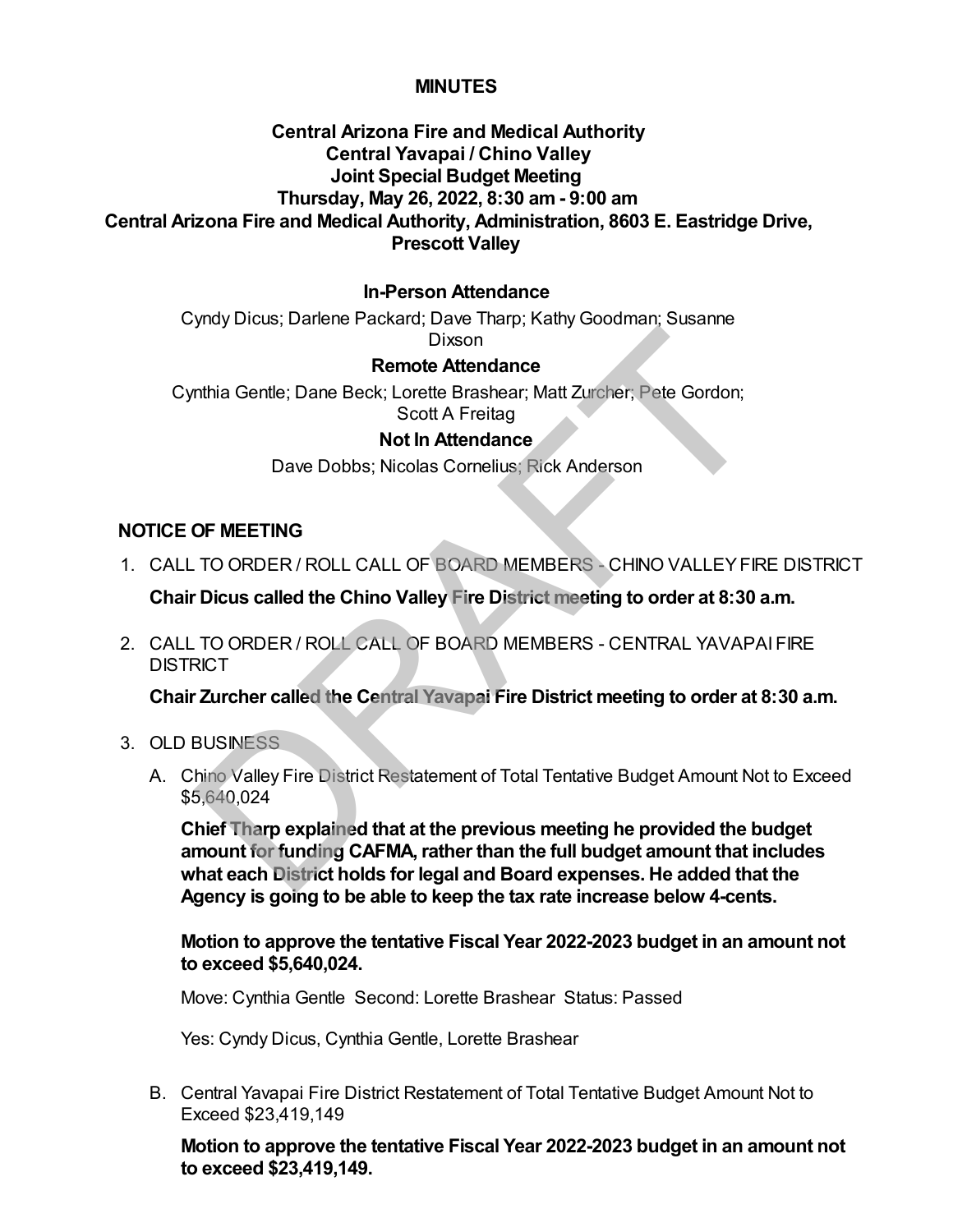# **MINUTES**

# **Central Arizona Fire and Medical Authority Central Yavapai / Chino Valley Joint Special Budget Meeting Thursday, May 26, 2022, 8:30 am - 9:00 am Central Arizona Fire and Medical Authority, Administration, 8603 E. Eastridge Drive, Prescott Valley**

# **In-Person Attendance**

Cyndy Dicus; Darlene Packard; Dave Tharp; Kathy Goodman; Susanne Dixson

### **Remote Attendance**

Cynthia Gentle; Dane Beck; Lorette Brashear; Matt Zurcher; Pete Gordon; Scott A Freitag

### **Not In Attendance**

Dave Dobbs; Nicolas Cornelius; Rick Anderson

### **NOTICE OF MEETING**

1. CALL TO ORDER / ROLL CALL OF BOARD MEMBERS - CHINO VALLEY FIRE DISTRICT

**Chair Dicus called the Chino Valley Fire District meeting to order at 8:30 a.m.**

CALL TO ORDER / ROLL CALL OF BOARD MEMBERS - CENTRAL YAVAPAI FIRE 2. **DISTRICT** 

**Chair Zurcher called the Central Yavapai Fire District meeting to order at 8:30 a.m.**

- 3. OLD BUSINESS
	- A. Chino Valley Fire District Restatement of Total Tentative Budget Amount Not to Exceed \$5,640,024

**Chief Tharp explained that at the previous meeting he provided the budget amount for funding CAFMA, rather than the full budget amount that includes what each District holds for legal and Board expenses. He added that the Agency is going to be able to keep the tax rate increase below 4-cents.** Dixson<br>
Remote Attendance<br>
Scott A Freitag<br>
Scott A Freitag<br>
Not In Attendance<br>
Dave Dobbs; Nicolas Cornelius; Rick Anderson<br>
OF MEETING<br>
TO ORDER / ROLL CALL OF BOARD MEMBERS - CHINO VALLEY FIF<br>
Dictus called the Chino Va

# **Motion to approve the tentative Fiscal Year 2022-2023 budget in an amount not to exceed \$5,640,024.**

Move: Cynthia Gentle Second: Lorette Brashear Status: Passed

Yes: Cyndy Dicus, Cynthia Gentle, Lorette Brashear

Central Yavapai Fire District Restatement of Total Tentative Budget Amount Not to B. Exceed \$23,419,149

**Motion to approve the tentative Fiscal Year 2022-2023 budget in an amount not to exceed \$23,419,149.**